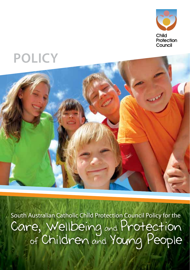

# **Policy**



South Australian Catholic Child Protection Council Policy for the Care, Wellbeing and Protection of Children and Young People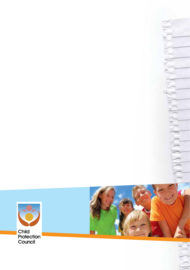

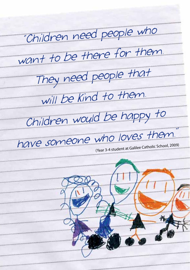"Children need people who want to be there for them. They need people that will be kind to them. Children would be happy to have someone who loves them. (Year 3-4 student at Galilee Catholic School, 2009)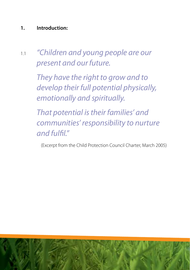# **1. Introduction:**

1.1 *"Children and young people are our present and our future.*

> *They have the right to grow and to develop their full potential physically, emotionally and spiritually.*

*That potential istheir families' and communities' responsibility to nurture and fulfil."* 

(Excerpt from the Child Protection Council Charter, March 2005)

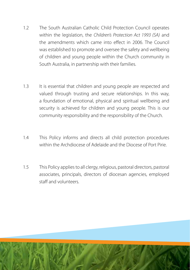- 1.2 The South Australian Catholic Child Protection Council operates within the legislation, the *Children's Protection Act 1993 (SA)* and the amendments which came into effect in 2006. The Council was established to promote and oversee the safety and wellbeing of children and young people within the Church community in South Australia, in partnership with their families.
- 1.3 It is essential that children and young people are respected and valued through trusting and secure relationships. In this way, a foundation of emotional, physical and spiritual wellbeing and security is achieved for children and young people. This is our community responsibility and the responsibility of the Church.
- 1.4 This Policy informs and directs all child protection procedures within the Archdiocese of Adelaide and the Diocese of Port Pirie.
- 1.5 This Policy applies to all clergy, religious, pastoral directors, pastoral associates, principals, directors of diocesan agencies, employed staff and volunteers.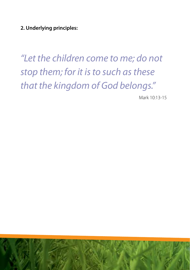**2. Underlying principles:**

*"Let the children come to me; do not stop them; for it isto such asthese that the kingdom of God belongs."*

Mark 10:13-15

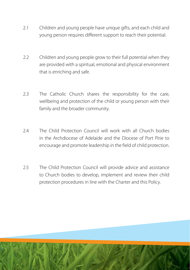- 2.1 Children and young people have unique gifts, and each child and young person requires different support to reach their potential.
- 2.2 Children and young people grow to their full potential when they are provided with a spiritual, emotional and physical environment that is enriching and safe.
- 2.3 The Catholic Church shares the responsibility for the care, wellbeing and protection of the child or young person with their family and the broader community.
- 2.4 The Child Protection Council will work with all Church bodies in the Archdiocese of Adelaide and the Diocese of Port Pirie to encourage and promote leadership in the field of child protection.
- 2.5 The Child Protection Council will provide advice and assistance to Church bodies to develop, implement and review their child protection procedures in line with the Charter and this Policy.

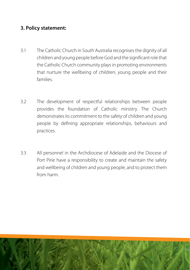# **3. Policy statement:**

- 3.1 The Catholic Church in South Australia recognises the dignity of all children and young people beforeGod and the significant role that the Catholic Church community plays in promoting environments that nurture the wellbeing of children, young people and their families.
- 3.2 The development of respectful relationships between people provides the foundation of Catholic ministry. The Church demonstrates its commitment to the safety of children and young people by defining appropriate relationships, behaviours and practices.
- 3.3 All personnel in the Archdiocese of Adelaide and the Diocese of Port Pirie have a responsibility to create and maintain the safety and wellbeing of children and young people, and to protect them from harm.

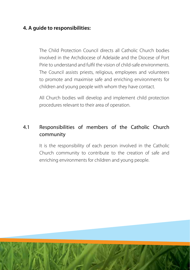# **4. A guide to responsibilities:**

The Child Protection Council directs all Catholic Church bodies involved in the Archdiocese of Adelaide and the Diocese of Port Pirie to understand and fulfil the vision of child-safe environments. The Council assists priests, religious, employees and volunteers to promote and maximise safe and enriching environments for children and young people with whom they have contact.

All Church bodies will develop and implement child protection procedures relevant to their area of operation.

# 4.1 Responsibilities of members of the Catholic Church community

It is the responsibility of each person involved in the Catholic Church community to contribute to the creation of safe and enriching environments for children and young people.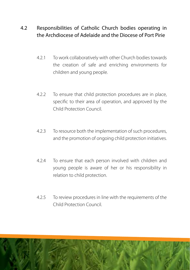# 4.2 Responsibilities of Catholic Church bodies operating in the Archdiocese of Adelaide and the Diocese of Port Pirie

- 4.2.1 To work collaboratively with other Church bodies towards the creation of safe and enriching environments for children and young people.
- 4.2.2 To ensure that child protection procedures are in place, specific to their area of operation, and approved by the Child Protection Council.
- 4.2.3 To resource both the implementation of such procedures, and the promotion of ongoing child protection initiatives.
- 4.2.4 To ensure that each person involved with children and young people is aware of her or his responsibility in relation to child protection.
- 4.2.5 To review procedures in line with the requirements of the Child Protection Council.

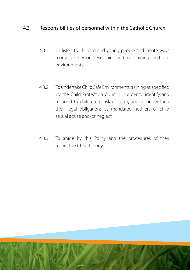# 4.3 Responsibilities of personnel within the Catholic Church

- 4.3.1 To listen to children and young people and create ways to involve them in developing and maintaining child-safe environments.
- 4.3.2 To undertake Child Safe Environments training as specified by the Child Protection Council in order to identify and respond to children at risk of harm, and to understand their legal obligations as mandated notifiers of child sexual abuse and/or neglect.
- 4.3.3 To abide by this Policy and the procedures of their respective Church body.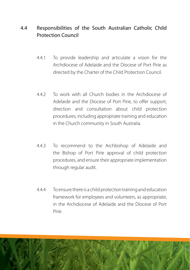# 4.4 Responsibilities of the South Australian Catholic Child Protection Council

- 4.4.1 To provide leadership and articulate a vision for the Archdiocese of Adelaide and the Diocese of Port Pirie as directed by the Charter of the Child Protection Council.
- 4.4.2 To work with all Church bodies in the Archdiocese of Adelaide and the Diocese of Port Pirie, to offer support, direction and consultation about child protection procedures, including appropriate training and education in the Church community in South Australia.
- 4.4.3 To recommend to the Archbishop of Adelaide and the Bishop of Port Pirie approval of child protection procedures, and ensure their appropriate implementation through regular audit.
- 4.4.4 To ensure there is a child protection training and education framework for employees and volunteers, as appropriate, in the Archdiocese of Adelaide and the Diocese of Port Pirie.

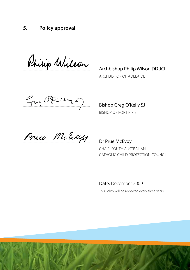### **5. Policy approval**

Philip Wilson Anchbishop Philip Wilson DD JCL

 Archbishop of Adelaide

 $\frac{C_{\gamma_{11}}, C_{\gamma_{21}}, C_{\gamma_{32}}, C_{\gamma_{41}}, C_{\gamma_{52}}, C_{\gamma_{61}}, C_{\gamma_{71}}, C_{\gamma_{82}}, C_{\gamma_{81}}, C_{\gamma_{82}}, C_{\gamma_{81}}, C_{\gamma_{82}}, C_{\gamma_{81}}, C_{\gamma_{82}}, C_{\gamma_{81}}, C_{\gamma_{82}}, C_{\gamma_{81}}, C_{\gamma_{82}}, C_{\gamma_{81}}, C_{\gamma_{82}}, C_{\gamma_{81}}, C_{\gamma_{82}}, C_{\gamma_{81}}, C_{\gamma_{82}}, C_{\gamma_{81}}, C_{\gamma_{82}}, C_{\gamma_{81}}, C$ 

Bishop of Port Pirie

Prue McEvay Dr Prue McEvoy

Chair, South Australian Catholic Child Protection Council

Date: December 2009

This Policy will be reviewed every three years.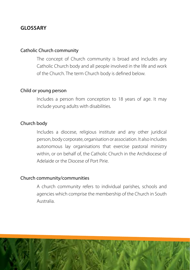## **Glossary**

### Catholic Church community

The concept of Church community is broad and includes any Catholic Church body and all people involved in the life and work of the Church. The term Church body is defined below.

### Child or young person

Includes a person from conception to 18 years of age. It may include young adults with disabilities.

### Church body

Includes a diocese, religious institute and any other juridical person, body corporate, organisation or association. It also includes autonomous lay organisations that exercise pastoral ministry within, or on behalf of, the Catholic Church in the Archdiocese of Adelaide or the Diocese of Port Pirie.

### Church community/communities

A church community refers to individual parishes, schools and agencies which comprise the membership of the Church in South Australia.

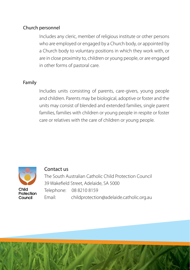### Church personnel

Includes any cleric, member of religious institute or other persons who are employed or engaged by a Church body, or appointed by a Church body to voluntary positions in which they work with, or are in close proximity to, children or young people, or are engaged in other forms of pastoral care.

### Family

Includes units consisting of parents, care-givers, young people and children. Parents may be biological, adoptive or foster and the units may consist of blended and extended families, single parent families, families with children or young people in respite or foster care or relatives with the care of children or young people.



### Contact us

The South Australian Catholic Child Protection Council 39 Wakefield Street, Adelaide, SA 5000 Telephone: 08 8210 8159 Email: childprotection@adelaide.catholic.org.au